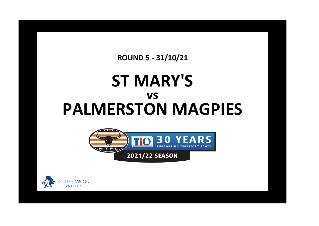**ROUND 5 - 31/10/21** 

## **ST MARY'S VS PALMERSTON MAGPIES**



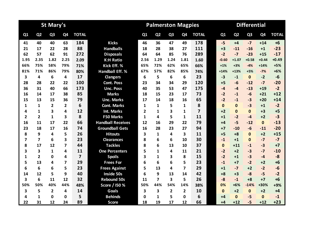|                |                         | <b>St Mary's</b> |      |                         |                          |                | <b>Palmerston Magpies</b> |                |                |                | <b>Differential</b> |                |                |                |              |  |  |
|----------------|-------------------------|------------------|------|-------------------------|--------------------------|----------------|---------------------------|----------------|----------------|----------------|---------------------|----------------|----------------|----------------|--------------|--|--|
| Q1             | Q <sub>2</sub>          | Q <sub>3</sub>   | Q4   | <b>TOTAL</b>            |                          | Q <sub>1</sub> | Q <sub>2</sub>            | Q <sub>3</sub> | Q <sub>4</sub> | <b>TOTAL</b>   | Q1                  | Q <sub>2</sub> | Q <sub>3</sub> | Q <sub>4</sub> | <b>TOTAL</b> |  |  |
| 41             | 40                      | 40               | 63   | 184                     | <b>Kicks</b>             | 46             | 36                        | 47             | 49             | 178            | $-5$                | $+4$           | $-7$           | $+14$          | $+6$         |  |  |
| 21             | 17                      | 22               | 28   | 88                      | <b>Handballs</b>         | 18             | 28                        | 38             | 27             | 111            | $+3$                | $-11$          | $-16$          | $+1$           | $-23$        |  |  |
| 62             | 57                      | 62               | 91   | 272                     | <b>Disposals</b>         | 64             | 64                        | 85             | 76             | 289            | $-2$                | $-7$           | $-23$          | $+15$          | $-17$        |  |  |
| 1.95           | 2.35                    | 1.82             | 2.25 | 2.09                    | <b>K:H Ratio</b>         | 2.56           | 1.29                      | 1.24           | 1.81           | 1.60           | $-0.60$             | $+1.07$        | $+0.58$        | $+0.44$        | $+0.49$      |  |  |
| 66%            | 75%                     | 58%              | 79%  | 71%                     | Kick Eff. %              | 65%            | 72%                       | 62%            | 65%            | 66%            | $+1%$               | $+3%$          | $-4%$          | $+14%$         | $+5%$        |  |  |
| 81%            | 71%                     | 86%              | 79%  | 80%                     | <b>Handball Eff. %</b>   | 67%            | 57%                       | 82%            | 85%            | 74%            | $+14%$              | $+13%$         | $+5%$          | $-7%$          | $+6%$        |  |  |
| 3              | 4                       | 6                | 4    | 17                      | <b>Clangers</b>          | 6              | 5                         | 6              | 6              | 23             | $-3$                | $-1$           | $\mathbf{0}$   | $-2$           | $-6$         |  |  |
| 28             | 28                      | 22               | 22   | 100                     | <b>Cont. Poss</b>        | 23             | 34                        | 34             | 29             | 120            | $+5$                | $-6$           | $-12$          | $-7$           | $-20$        |  |  |
| 36             | 31                      | 40               | 66   | 173                     | <b>Unc. Poss</b>         | 40             | 35                        | 53             | 47             | 175            | $-4$                | $-4$           | $-13$          | $+19$          | $-2$         |  |  |
| 16             | 14                      | 17               | 38   | 85                      | <b>Marks</b>             | 18             | 15                        | 23             | 17             | 73             | $-2$                | $-1$           | $-6$           | $+21$          | $+12$        |  |  |
| 15             | 13                      | 15               | 36   | 79                      | <b>Unc. Marks</b>        | 17             | 14                        | 18             | 16             | 65             | $-2$                | $-1$           | $-3$           | $+20$          | $+14$        |  |  |
| 1              | 1                       | $\overline{2}$   | 2    | 6                       | <b>Cont. Marks</b>       | 1              | 1                         | 5              | $\mathbf 1$    | 8              | $\mathbf{0}$        | $\bf{0}$       | $-3$           | $+1$           | $-2$         |  |  |
| 4              | $\mathbf{1}$            | 3                | 4    | 12                      | <b>Int. Marks</b>        | 2              | $\mathbf{1}$              | 3              | $\mathbf 1$    | $\overline{7}$ | $+2$                | $\mathbf{0}$   | $\mathbf{0}$   | $+3$           | $+5$         |  |  |
| $\overline{2}$ | $\overline{2}$          | 1                | 3    | 8                       | <b>F50 Marks</b>         | 1              | 4                         | 5              | 1              | 11             | $+1$                | $-2$           | $-4$           | $+2$           | $-3$         |  |  |
| 16             | 11                      | 17               | 22   | 66                      | <b>Handball Receives</b> | 12             | 16                        | 29             | 22             | 79             | $+4$                | $-5$           | $-12$          | $\mathbf{0}$   | $-13$        |  |  |
| 23             | 18                      | 17               | 16   | 74                      | <b>Groundball Gets</b>   | 16             | 28                        | 23             | 27             | 94             | $+7$                | $-10$          | $-6$           | $-11$          | $-20$        |  |  |
| 8              | 9                       | 4                | 5    | 26                      | <b>Hitouts</b>           | 3              | 1                         | 4              | 3              | 11             | $+5$                | $+8$           | $\mathbf{0}$   | $+2$           | $+15$        |  |  |
| 7              | $\overline{\mathbf{z}}$ | 6                | 3    | 23                      | <b>Clearances</b>        | 8              | 6                         | 6              | 10             | 30             | $-1$                | $+1$           | $\mathbf{0}$   | $-7$           | $-7$         |  |  |
| 8              | 17                      | 12               | 7    | 44                      | <b>Tackles</b>           | 8              | 6                         | 13             | 10             | 37             | $\mathbf{0}$        | $+11$          | $-1$           | $-3$           | $+7$         |  |  |
| 3              | 3                       | $\mathbf{1}$     | 4    | 11                      | <b>One Percenters</b>    | 5              | 1                         | 4              | 11             | 21             | $-2$                | $+2$           | $-3$           | $-7$           | $-10$        |  |  |
| 1              | $\overline{2}$          | 0                | 4    | $\overline{\mathbf{z}}$ | <b>Spoils</b>            | 3              | $\mathbf{1}$              | 3              | 8              | 15             | $-2$                | $+1$           | $-3$           | $-4$           | $-8$         |  |  |
| 5              | 13                      | 4                | 7    | 29                      | <b>Frees For</b>         | 6              | 6                         | 6              | 5              | 23             | $-1$                | $+7$           | $-2$           | $+2$           | $+6$         |  |  |
| 6              | 6                       | 6                | 5    | 23                      | <b>Frees Against</b>     | 5              | 13                        | 4              | 7              | 29             | $+1$                | $-7$           | $+2$           | $-2$           | $-6$         |  |  |
| 14             | 12                      | 5                | 9    | 40                      | <b>Inside 50s</b>        | 6              | 9                         | 13             | 14             | 42             | $+8$                | $+3$           | $-8$           | $-5$           | $-2$         |  |  |
| 3              | 6                       | 11               | 12   | 32                      | <b>Rebound 50s</b>       | 11             | $\overline{7}$            | 3              | 5              | 26             | $-8$                | $-1$           | $+8$           | $+7$           | $+6$         |  |  |
| 50%            | 50%                     | 40%              | 44%  | 48%                     | Score / 150 %            | 50%            | 44%                       | 54%            | 14%            | 38%            | 0%                  | $+6%$          | $-14%$         | +30%           | $+9%$        |  |  |
| 3              | 5                       | $\overline{2}$   | 4    | 14                      | Goals                    | 3              | 3                         | 2              | 2              | 10             | $\mathbf{0}$        | $+2$           | $\mathbf{0}$   | $+2$           | $+4$         |  |  |
| 4              | $\mathbf{1}$            | $\mathbf 0$      | 0    | 5                       | <b>Behinds</b>           | 0              | $\mathbf{1}$              | 5              | $\mathbf 0$    | 6              | $+4$                | $\mathbf{0}$   | $-5$           | $\mathbf{0}$   | $-1$         |  |  |
| 22             | 31                      | 12               | 24   | 89                      | <b>Score</b>             | 18             | 19                        | 17             | 12             | 66             | $+4$                | $+12$          | $-5$           | $+12$          | $+23$        |  |  |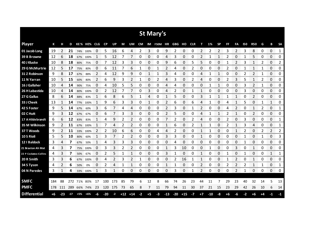|                       |     |       |       |     |             |    |       |      |       |       |      |      | St Mary's  |       |        |       |            |      |       |                |                |                |            |            |    |              |           |
|-----------------------|-----|-------|-------|-----|-------------|----|-------|------|-------|-------|------|------|------------|-------|--------|-------|------------|------|-------|----------------|----------------|----------------|------------|------------|----|--------------|-----------|
| <b>Player</b>         | К   | н     | D     |     | KE% HE% CLG |    | CP    | UP   | М     | UM    | CM   |      | IM F50M HR |       | GBG HO |       | <b>CLR</b> | т    | 1%    | <b>SP</b>      | FF             | FA             | <b>I50</b> | <b>R50</b> | G  | В            | <b>SA</b> |
| 01 Jacob Long         | 19  | 2     | 21    |     | 74% 100%    | 0  | 5     | 16   | 6     | 4     | 2    | 3    | 0          | 9     | 2      | 0     | 0          | 2    | 2     | $\overline{2}$ | 3              | $\overline{2}$ | 3          | 8          | 0  | 0            | 1<br>.    |
| 39 B Browne           | 12  | 6     | 18    | 67% | 100%        |    | 5     | 12   |       | 7     | 0    | 0    | 0          | 4     | 3      | 0     | 0          |      |       |                |                | 0              |            | 5          | 0  | 0            | 0         |
| 40 J Kluske           | 10  | 8     | 18    | 80% | 75%         | 0  |       | 12   | 3     | 3     | 0    | 0    | 0          | 9     | 6      | 0     | 5          | 5    | 0     | 0              |                | 2              | 3          | 1          | 2  | 0            | 2         |
| 29 G McMurtrie        | 12  | 5     | 17    | 75% | 80%         | 0  | 6     | 11   |       | 6     | 1    | 0    |            | 2     | 4      | 0     | 2          | 0    | 0     | 0              | 2              | 0              |            | 1          | 1  | 0            | 0         |
| 31 Z Robinson         | 9   | 8     | 17    | 67% | 88%         | 2  | 4     | 12   | 9     | 9     | 0    | 1    | 1          | 3     | 4      | 0     | 0          | 4    | 1     | 1              | 0              | 0              | 2          | 2          | 1  | 0            | 0         |
| 11 N Yarran           | 10  | 5     | 15    | 60% | 80%         | 2  | 6     | 9    | 3     | 2     | 1    | 0    | 2          | 4     | 3      | 0     |            | 4    | 0     | 0              | 2              | 3              | 5          | 1          | 2  | 0            | 0         |
| 16 J Gallaher         | 10  | 4     | 14    | 90% | 75%         | 0  | 4     | 10   | 5     | 5     | 0    | 0    | 0          | 4     | 4      | 0     | 0          | 0    | 1     | 1              | 0              | 0              | 3          | 2          | 1  | 0            | 0         |
| 26 H Labastida        | 10  | 4     | 14    | 80% | 100%        | 0  | 2     | 12   | 7     | 7     | 0    | 3    | 0          | 4     | 2      | 0     |            | 1    | 0     | 0              | 0              | 0              | 3          | 0          | 0  | 0            | 0         |
| 27 G Gallus           | 8   | 6     | 14    | 88% | 83%         | 1  | 6     | 8    | 6     | 5     | 1    | 4    | 0          | 1     | 5      | 0     | 0          | 3    | 1     | 1              | 1              | 1              | 0          | 2          | 0  | 0            | 0         |
| 33 J Cheek            | 13  |       | 14    | 77% | 100%        | 1  | 9     | 6    | 3     | 3     | 0    | 1    | 0          | 2     | 6      | 0     | 6          | 4    |       | 0              | 4              | 1              | 5          | 0          | 1  | 1            | 0         |
| 42 S Foster           | 9   | 5     | 14    | 67% | 60%         | 3  | 6     |      | 4     | 4     | 0    | 0    | 0          | 2     | 3      | 0     | 1          | 2    | 0     | 0              | 4              | 2              | 0          | 1          | 2  | 0            | 1         |
| 02 C Hutt             | 9   | 3     | 12    | 67% | 67%         | 0  | 6     |      | 3     | 3     | 0    | 0    | 0          | 2     | 5      | 0     | 0          | 4    |       | 1              | 2              | 1              | 0          | 2          | 0  | 0            | 0         |
| 17 A Hildebrandt      | 6   | 6     | 12    | 83% | 83%         | 1  | 4     | 9    | 2     | 2     | 0    | 0    | 0          | 7     | 2      | 0     | 2          | 4    | 0     | 0              | $\overline{2}$ | 0              | 3          | 0          | 0  | 0            | 1         |
| 35 M Wilkinson        | 9   | 2     | 11    | 67% | 100%        |    | 7     | 4    | 2     | 2     | 0    | 0    | 0          | 1     | 6      | 0     | 2          | 1    | 1     | 0              | 2              | 1              | 3          | 4          | 0  | 0            | 1         |
| 37 T Woods            | 9   | 2     | 11    | 33% | 100%        | 2  | 2     | 10   | 6     | 6     | 0    | 0    | 4          | 4     | 2      | 0     | 0          | 1    | 1     | 0              | 0              | 1              | 2          | 0          | 2  | 2            | 2         |
| 10 S Rioli            | 5   | 5     | 10    | 80% | 60%         | 1  | 3     |      | 2     | 2     | 0    | 0    | 0          | 3     | 3      | 0     | 0          | 1    | 0     | 0              | 0              | 0              | 1          | 0          | 1  | 0            | 3         |
| 12 I Baldock          | 3   | 4     | 7     | 67% | 50%         | 1  | 4     | 3    | 3     | 3     | 0    | 0    | 0          | 0     | 4      | 0     | 0          | 0    | 0     | 0              | 0              | 0              | 1          | 0          | 0  | 0            | 0         |
| 21 Braxton Ah Mat     | 4   | 3     | 7     | 75% | 100%        | 0  | 3     | 3    | 2     | 2     | 0    | 0    | 0          | 1     | 3      | 10    | 0          | 0    | 1     | 0              | 0              | 3              | 0          | 1          | 0  | 0            | 0         |
| 22 P Cockatoo-Collins | 4   | 3     | 7     | 50% | 67%         | 0  | 2     | 5    | 1     | 1     | 0    | 0    | 0          | 3     |        | 0     | 0          | 1    | 0     | 0              | 1              | 0              | 1          | 0          | 0  | $\mathbf{1}$ | 1         |
| 20 R Smith            | 3   | 3     | 6     | 67% | 100%        | 0  | 4     | 2    | 3     | 2     | 1    | 0    | 0          | 0     | 2      | 16    | 1          | 1    | 0     | 0              |                | 2              | 0          | 1          | 0  | 0            | 0         |
| 34 S Tyson            | 4   | 2     | 6     | 50% | 0%          | 0  | 2     | 4    | 1     | 1     | 0    | 0    | 0          | 1     | 1      | 0     | 0          | 2    | 0     | 0              | 2              | $\overline{2}$ | 2          | 1          | 1  | 0            | 1         |
| 04 N Paredes          | 3   | 1     | 4     |     | 33% 100%    | 1  | 3     | 1    | 0     | 0     | 0    | 0    | 0          | 0     | 3      | 0     | 1          | 2    | 0     | 0              | 0              | 2              | 1          | 0          | 0  | 0            | 0         |
|                       |     |       |       |     |             |    |       |      |       |       |      |      |            |       |        |       |            |      |       |                |                |                |            |            |    |              |           |
| <b>SMFC</b>           | 184 | 88    | 272   | 71% | 80%         | 17 | 100   | 173  | 85    | 79    | 6    | 12   | 8          | 66    | 74     | 26    | 23         | 44   | 11    |                | 29             | 23             | 40         | 32         | 14 | 5            | 13        |
| <b>PMFC</b>           | 178 | 111   | 289   |     | 66% 74%     | 23 | 120   | 175  | 73    | 65    | 8    | 7    | 11         | 79    | 94     | 11    | 30         | 37   | 21    | 15             | 23             | 29             | 42         | 26         | 10 | 6            | 14        |
| <b>Differential</b>   | +6  | $-23$ | $-17$ | +5% | $+6%$       | -6 | $-20$ | $-2$ | $+12$ | $+14$ | $-2$ | $+5$ | -3         | $-13$ | $-20$  | $+15$ | $-7$       | $+7$ | $-10$ | -8             | $+6$           | -6             | -2         | $+6$       | +4 | -1           | $-1$      |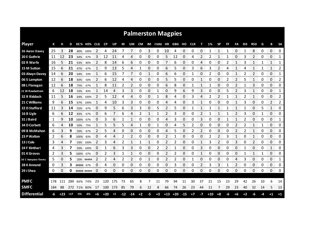|                     |     |       |       |             |             |             |           |      |       |              |      |          | <b>Palmerston Magpies</b> |       |       |       |            |      |       |           |    |                |      |              |    |              |              |
|---------------------|-----|-------|-------|-------------|-------------|-------------|-----------|------|-------|--------------|------|----------|---------------------------|-------|-------|-------|------------|------|-------|-----------|----|----------------|------|--------------|----|--------------|--------------|
| <b>Player</b>       | К   |       | D     |             | KE% HE%     | <b>CLG</b>  | <b>CP</b> | UP   | М     | UM           | CM   |          | IM F50M HR GBG HO         |       |       |       | <b>CLR</b> | т    | 1%    | <b>SP</b> | FF | FA             | 150  | <b>R50</b>   | G  | в            | <b>SA</b>    |
| 36 Aaron Davey      | 25  | 3     | 28    |             | 80% 100%    |             | 4         | 24   |       | 7            | 0    | 3        | 0                         | 10    | 4     | 0     | 0          | 0    |       | 1         |    | 0              |      | 8            | 0  | 0            | 0<br>------  |
| 20 E Guthrie        | 11  | 12    | 23    | 64%         | 67%         | 3           | 12        | 11   | 4     | 4            | 0    | 0        | 0                         | 5     | 12    | 0     | 4          | 2    | 2     | 1         | 1  | 0              | 3    | 2            | 0  | 0            | 1<br>ananana |
| 02 R Warfe          | 16  | 5     | 21    | 63%         | 80%         | 2           | 8         | 14   | 6     | 6            | 0    | 0        | 0                         |       | 6     | 0     | 0          | 4    |       | 0         |    | 1              | 3    | 1            |    | 1            | 1            |
| 15 M Sutton         | 15  | 6     | 21    | 67%         | 67%         | 1           | 9         | 13   | 5     | 4            | 1    | 0        | 0                         | 6     | 5     | 0     | 3          | 6    | 3     | 2         | 4  | 1              | 4    | 1            | 1  | 1            | 2            |
| 03 Alwyn Davey      | 14  | 6     | 20    | 64%         | 33%         | 1           | 6         | 15   | 7     | 7            | 0    | 1        | 0                         | 6     | 6     | 0     | 1          | 0    | 2     | 0         | 0  | $\mathbf{1}$   | 2    | 2            | 0  | $\Omega$     | 1            |
| 06 S Lampton        | 12  | 6     | 18    | 83%         | 50%         | 2           | 6         | 12   | 4     | 4            | 0    | 0        | 0                         | 5     | 5     | 0     | 0          | 1    | 0     | 0         | 2  | $\overline{2}$ | 5    | 1            | 0  | 0            | 2            |
| 08 L Flanagan       | 12  | 6     | 18    | 75%         | 67%         | 1           | 8         | 11   | 2     | 2            | 0    | 0        | 0                         | 6     | 8     | 0     |            | 1    | 1     | 0         | 0  | 2              |      | 3            | 0  | 0            | 0            |
| 11 W Rowbottom      | 6   | 12    | 18    | 33%         | 83%         | $\mathbf 1$ | 14        | 4    | 3     | 3            | 0    | 0        | 1                         | 0     | 9     | 6     | 9          | 3    | 0     | 0         | 5  | 2              | 3    | $\mathbf{1}$ | 0  | 0            | 1            |
| 32 R Riddoch        | 11  | 5     | 16    |             | 64% 100%    | 2           | 5         | 12   | 4     | 4            | 0    | 0        | 1                         | 8     | 4     | 0     | 3          | 4    | 2     | 2         | 1  | $\mathbf{1}$   | 2    | $\mathbf{1}$ | 0  | 0            | 2            |
| 21 C Williams       | 9   | 6     | 15    | 67%         | 100%        | $\mathbf 1$ | 4         | 10   | 3     | 3            | 0    | 0        | 0                         | 4     | 4     | 0     | 3          | 1    | 0     | 0         | 0  | $\mathbf{1}$   | 3    | 0            | 0  | 2            | 2            |
| 22 D Stafford       | 11  | 3     | 14    | 55%         | 67%         | 0           | 9         | 5    | 6     | 3            | 3    | 0        | 5                         | 2     | 5     | 0     |            | 1    |       | 1         |    | 1              |      | 0            | 5  | $\mathbf{1}$ | 0            |
| 16 B Ugle           | 6   | 6     | 12    | 83%         | 67%         | 0           | 6         | 7    | 6     | 4            | 2    | 1        | 1                         | 2     | 3     | 0     | 0          | 2    |       | 1         | 1  | 2              | 3    | 0            | 1  | 0            | 0            |
| 31 J Baird          | 1   | 9     | 10    | 100%        | 67%         | 0           | 3         | 6    | 1     | $\mathbf{1}$ | 0    | $\Omega$ | 0                         | 4     | 3     | 0     | 0          | 3    | 0     | 0         | 1  | $\mathbf{1}$   | 2    | 0            | 0  | $\Omega$     | 1            |
| 34 D Corbett        | 6   | 4     | 10    | 50%         | 75%         | 1           | 5         | 5    | 5     | 4            | 1    | 0        | 1                         | 0     | 4     | 5     | 2          | 0    | 0     | 0         | 0  | 2              | 2    | 1            | 1  | 0            | 0            |
| 09 B McMahon        | 6   | 3     | 9     | 50%         | 67%         | 2           | 5         |      | Ω     | 0            | 0    | 0        | 0                         | 4     | 5     | 0     | 2          |      | O     | 0         | 0  | 2              |      |              | 0  | 0            | 0            |
| 23 P Walton         | 2   | 6     | 8     | 100%        | 83%         | 0           | Δ         | Δ    | 2     | 2            | 0    | 0        | 0                         | 2     |       | 0     | 0          | 0    |       | 2         | 3  |                | C    |              | 0  | 0            | 0<br>manan m |
| 13 J Cole           | 3   | 4     |       |             | 33% 100%    | 2           | 3         | 4    |       |              |      |          | 0                         | 2     | 2     | 0     | 0          |      | 3     | 2         | 0  | 3              | 0    | 2            | 0  | 0<br>mana an | 0            |
| 24 F Kinthari       | 4   | 3     |       | 50%         | 100%        | 0           |           | 6    | 3     | 3            | 0    | 0        | 2                         | 2     |       | 0     | 0          | 3    | 0     | 0         | 0  | 0              |      | 0            | 0  |              | 0            |
| 01 K Groves         | 2   | 3     | 5     | 100%        | 67%         | 0           | 2         | 3    | 1     |              | 0    | 0        | 0                         | 2     | 2     | 0     | 0          | 1    | 0     | 0         | 0  | 0              |      |              |    | 0            | 0            |
| 30 C Hampton-Timms  | 5   | 0     | 5     | 20%         | #####       | 2           | 2         | 4    | 2     | 2            | 0    | 1        | 0                         | 2     | 2     | 0     |            | 0    | 0     | 0         | 0  | 4              | 3    | 0            | 0  | 0            | 1<br>ana ara |
| 28 K Annand         | 0   | 3     | 3     | ##### 67%   |             | 0           | 4         | 0    | 0     | 0            | 0    | 0        | 0                         | 0     | 3     | 0     | 0          | 2    | 3     | 3         |    | 2              | 0    | 0            | 0  | 0            | 0            |
| 29 J Shea           | 0   | 0     | 0     |             | ##### ##### | 0           | 0         | 0    | 0     | 0            | 0    | 0        | 0                         | 0     | 0     | 0     | 0          | 0    | 0     | 0         | 0  | 0              | 0    | 0            | 0  | 0            | 0            |
|                     |     |       |       |             |             |             |           |      |       |              |      |          |                           |       |       |       |            |      |       |           |    |                |      |              |    |              |              |
| <b>PMFC</b>         | 178 | 111   | 289   |             | 66% 74%     | 23          | 120       | 175  | 73    | 65           | 8    | 7        | 11                        | 79    | 94    | 11    | 30         | 37   | 21    | 15        | 23 | 29             | 42   | 26           | 10 | 6            | 14           |
| <b>SMFC</b>         | 184 | 88    |       | 272 71% 80% |             | 17          | 100       | 173  | 85    | 79           | 6    | 12       | 8                         | 66    | 74    | 26    | 23         | 44   | 11    | 7         | 29 | 23             | 40   | 32           | 14 | 5            | 13           |
| <b>Differential</b> | -6  | $+23$ | $+17$ | -5%         | -6%         | +6          | $+20$     | $+2$ | $-12$ | $-14$        | $+2$ | -5       | $+3$                      | $+13$ | $+20$ | $-15$ | $+7$       | $-7$ | $+10$ | $+8$      | -6 | +6             | $+2$ | -6           |    | $+1$         | $+1$         |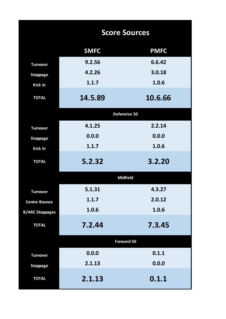|                        |             | <b>Score Sources</b> |
|------------------------|-------------|----------------------|
|                        | <b>SMFC</b> | <b>PMFC</b>          |
| <b>Turnover</b>        | 9.2.56      | 6.6.42               |
| <b>Stoppage</b>        | 4.2.26      | 3.0.18               |
| <b>Kick In</b>         | 1.1.7       | 1.0.6                |
| <b>TOTAL</b>           | 14.5.89     | 10.6.66              |
|                        |             | Defensive 50         |
| <b>Turnover</b>        | 4.1.25      | 2.2.14               |
| <b>Stoppage</b>        | 0.0.0       | 0.0.0                |
| <b>Kick In</b>         | 1.1.7       | 1.0.6                |
| <b>TOTAL</b>           | 5.2.32      | 3.2.20               |
|                        |             | <b>Midfield</b>      |
| <b>Turnover</b>        | 5.1.31      | 4.3.27               |
| <b>Centre Bounce</b>   | 1.1.7       | 2.0.12               |
| <b>B/ARC Stoppages</b> | 1.0.6       | 1.0.6                |
| <b>TOTAL</b>           | 7.2.44      | 7.3.45               |
|                        |             | Forward 50           |
| <b>Turnover</b>        | 0.0.0       | 0.1.1                |
| <b>Stoppage</b>        | 2.1.13      | 0.0.0                |
| <b>TOTAL</b>           | 2.1.13      | 0.1.1                |